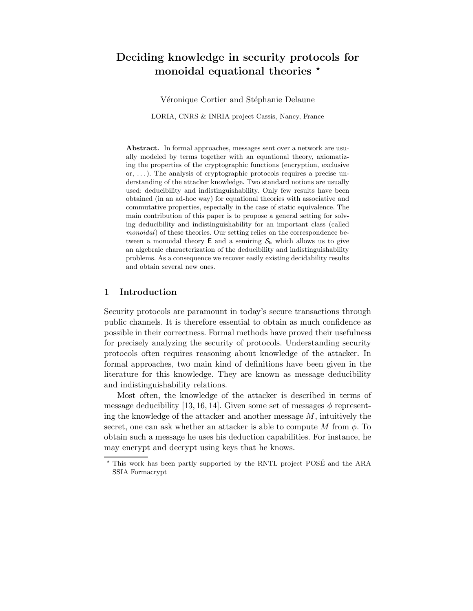# Deciding knowledge in security protocols for monoidal equational theories  $\star$

Véronique Cortier and Stéphanie Delaune

LORIA, CNRS & INRIA project Cassis, Nancy, France

Abstract. In formal approaches, messages sent over a network are usually modeled by terms together with an equational theory, axiomatizing the properties of the cryptographic functions (encryption, exclusive or, . . . ). The analysis of cryptographic protocols requires a precise understanding of the attacker knowledge. Two standard notions are usually used: deducibility and indistinguishability. Only few results have been obtained (in an ad-hoc way) for equational theories with associative and commutative properties, especially in the case of static equivalence. The main contribution of this paper is to propose a general setting for solving deducibility and indistinguishability for an important class (called monoidal) of these theories. Our setting relies on the correspondence between a monoidal theory  $E$  and a semiring  $S_E$  which allows us to give an algebraic characterization of the deducibility and indistinguishability problems. As a consequence we recover easily existing decidability results and obtain several new ones.

# 1 Introduction

Security protocols are paramount in today's secure transactions through public channels. It is therefore essential to obtain as much confidence as possible in their correctness. Formal methods have proved their usefulness for precisely analyzing the security of protocols. Understanding security protocols often requires reasoning about knowledge of the attacker. In formal approaches, two main kind of definitions have been given in the literature for this knowledge. They are known as message deducibility and indistinguishability relations.

Most often, the knowledge of the attacker is described in terms of message deducibility [13, 16, 14]. Given some set of messages  $\phi$  representing the knowledge of the attacker and another message  $M$ , intuitively the secret, one can ask whether an attacker is able to compute M from  $\phi$ . To obtain such a message he uses his deduction capabilities. For instance, he may encrypt and decrypt using keys that he knows.

 $*$  This work has been partly supported by the RNTL project POSÉ and the ARA SSIA Formacrypt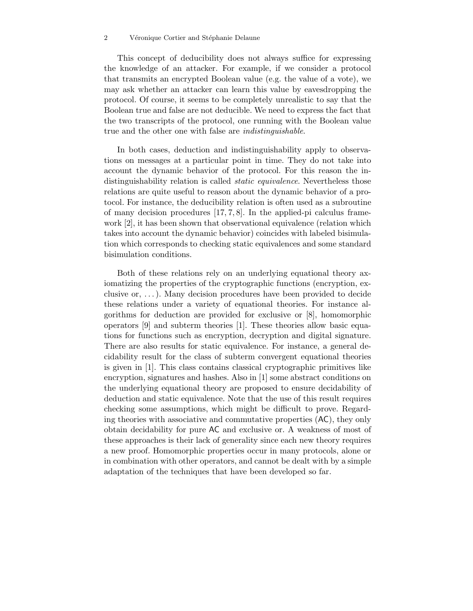#### 2 Véronique Cortier and Stéphanie Delaune

This concept of deducibility does not always suffice for expressing the knowledge of an attacker. For example, if we consider a protocol that transmits an encrypted Boolean value (e.g. the value of a vote), we may ask whether an attacker can learn this value by eavesdropping the protocol. Of course, it seems to be completely unrealistic to say that the Boolean true and false are not deducible. We need to express the fact that the two transcripts of the protocol, one running with the Boolean value true and the other one with false are indistinguishable.

In both cases, deduction and indistinguishability apply to observations on messages at a particular point in time. They do not take into account the dynamic behavior of the protocol. For this reason the indistinguishability relation is called *static equivalence*. Nevertheless those relations are quite useful to reason about the dynamic behavior of a protocol. For instance, the deducibility relation is often used as a subroutine of many decision procedures [17, 7, 8]. In the applied-pi calculus framework [2], it has been shown that observational equivalence (relation which takes into account the dynamic behavior) coincides with labeled bisimulation which corresponds to checking static equivalences and some standard bisimulation conditions.

Both of these relations rely on an underlying equational theory axiomatizing the properties of the cryptographic functions (encryption, exclusive or,  $\dots$ ). Many decision procedures have been provided to decide these relations under a variety of equational theories. For instance algorithms for deduction are provided for exclusive or [8], homomorphic operators [9] and subterm theories [1]. These theories allow basic equations for functions such as encryption, decryption and digital signature. There are also results for static equivalence. For instance, a general decidability result for the class of subterm convergent equational theories is given in [1]. This class contains classical cryptographic primitives like encryption, signatures and hashes. Also in [1] some abstract conditions on the underlying equational theory are proposed to ensure decidability of deduction and static equivalence. Note that the use of this result requires checking some assumptions, which might be difficult to prove. Regarding theories with associative and commutative properties (AC), they only obtain decidability for pure AC and exclusive or. A weakness of most of these approaches is their lack of generality since each new theory requires a new proof. Homomorphic properties occur in many protocols, alone or in combination with other operators, and cannot be dealt with by a simple adaptation of the techniques that have been developed so far.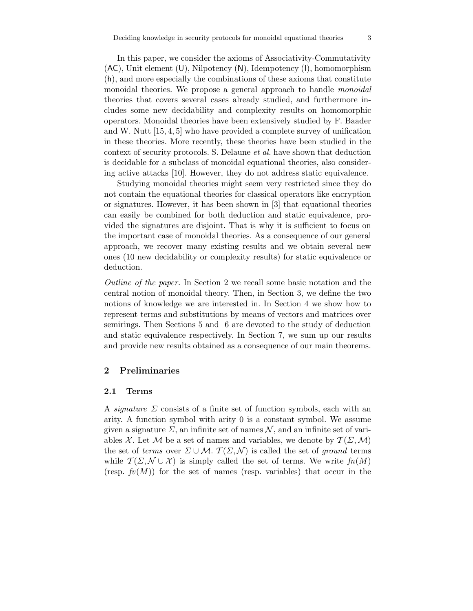In this paper, we consider the axioms of Associativity-Commutativity (AC), Unit element (U), Nilpotency (N), Idempotency (I), homomorphism (h), and more especially the combinations of these axioms that constitute monoidal theories. We propose a general approach to handle *monoidal* theories that covers several cases already studied, and furthermore includes some new decidability and complexity results on homomorphic operators. Monoidal theories have been extensively studied by F. Baader and W. Nutt [15, 4, 5] who have provided a complete survey of unification in these theories. More recently, these theories have been studied in the context of security protocols. S. Delaune et al. have shown that deduction is decidable for a subclass of monoidal equational theories, also considering active attacks [10]. However, they do not address static equivalence.

Studying monoidal theories might seem very restricted since they do not contain the equational theories for classical operators like encryption or signatures. However, it has been shown in [3] that equational theories can easily be combined for both deduction and static equivalence, provided the signatures are disjoint. That is why it is sufficient to focus on the important case of monoidal theories. As a consequence of our general approach, we recover many existing results and we obtain several new ones (10 new decidability or complexity results) for static equivalence or deduction.

Outline of the paper. In Section 2 we recall some basic notation and the central notion of monoidal theory. Then, in Section 3, we define the two notions of knowledge we are interested in. In Section 4 we show how to represent terms and substitutions by means of vectors and matrices over semirings. Then Sections 5 and 6 are devoted to the study of deduction and static equivalence respectively. In Section 7, we sum up our results and provide new results obtained as a consequence of our main theorems.

## 2 Preliminaries

#### 2.1 Terms

A *signature*  $\Sigma$  consists of a finite set of function symbols, each with an arity. A function symbol with arity 0 is a constant symbol. We assume given a signature  $\Sigma$ , an infinite set of names  $\mathcal N$ , and an infinite set of variables X. Let M be a set of names and variables, we denote by  $\mathcal{T}(\Sigma, \mathcal{M})$ the set of terms over  $\Sigma \cup \mathcal{M}$ .  $\mathcal{T}(\Sigma, \mathcal{N})$  is called the set of ground terms while  $\mathcal{T}(\Sigma, \mathcal{N} \cup \mathcal{X})$  is simply called the set of terms. We write  $fn(M)$ (resp.  $f(v(M))$ ) for the set of names (resp. variables) that occur in the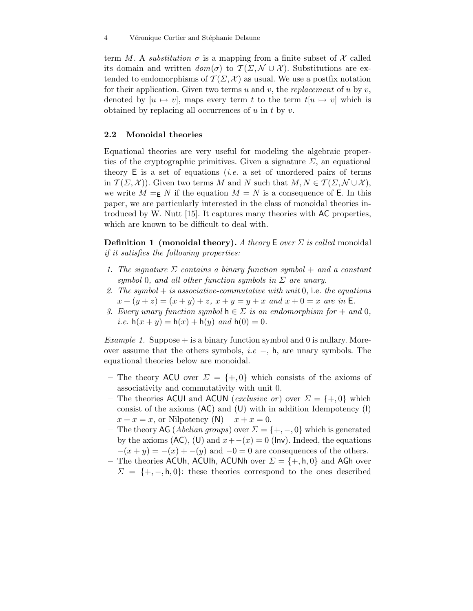term M. A *substitution*  $\sigma$  is a mapping from a finite subset of X called its domain and written  $dom(\sigma)$  to  $\mathcal{T}(\Sigma, \mathcal{N} \cup \mathcal{X})$ . Substitutions are extended to endomorphisms of  $\mathcal{T}(\Sigma,\mathcal{X})$  as usual. We use a postfix notation for their application. Given two terms u and v, the replacement of u by  $v$ , denoted by  $[u \mapsto v]$ , maps every term t to the term  $t[u \mapsto v]$  which is obtained by replacing all occurrences of  $u$  in  $t$  by  $v$ .

#### 2.2 Monoidal theories

Equational theories are very useful for modeling the algebraic properties of the cryptographic primitives. Given a signature  $\Sigma$ , an equational theory  $E$  is a set of equations *(i.e.* a set of unordered pairs of terms in  $\mathcal{T}(\Sigma, \mathcal{X})$ . Given two terms M and N such that  $M, N \in \mathcal{T}(\Sigma, \mathcal{N} \cup \mathcal{X})$ , we write  $M = K$  if the equation  $M = N$  is a consequence of E. In this paper, we are particularly interested in the class of monoidal theories introduced by W. Nutt [15]. It captures many theories with AC properties, which are known to be difficult to deal with.

**Definition 1** (monoidal theory). A theory E over  $\Sigma$  is called monoidal if it satisfies the following properties:

- 1. The signature  $\Sigma$  contains a binary function symbol + and a constant symbol 0, and all other function symbols in  $\Sigma$  are unary.
- 2. The symbol  $+$  is associative-commutative with unit 0, i.e. the equations  $x + (y + z) = (x + y) + z$ ,  $x + y = y + x$  and  $x + 0 = x$  are in E.
- 3. Every unary function symbol  $h \in \Sigma$  is an endomorphism for  $+$  and 0, *i.e.*  $h(x + y) = h(x) + h(y)$  and  $h(0) = 0$ .

Example 1. Suppose  $+$  is a binary function symbol and 0 is nullary. Moreover assume that the others symbols, i.e –, h, are unary symbols. The equational theories below are monoidal.

- The theory ACU over  $\Sigma = \{+,0\}$  which consists of the axioms of associativity and commutativity with unit 0.
- The theories ACUI and ACUN (exclusive or) over  $\Sigma = \{+,0\}$  which consist of the axioms (AC) and (U) with in addition Idempotency (I)  $x + x = x$ , or Nilpotency (N)  $x + x = 0$ .
- The theory AG (*Abelian groups*) over  $\Sigma = \{+, -, 0\}$  which is generated by the axioms  $(AC)$ ,  $(U)$  and  $x + -(x) = 0$  (lnv). Indeed, the equations  $-(x + y) = -(x) + -(y)$  and  $-0 = 0$  are consequences of the others.
- The theories ACUh, ACUIh, ACUNh over  $\Sigma = \{+, \mathsf{h}, \mathsf{0}\}\$  and AGh over  $\Sigma = \{+, -, h, 0\}$ : these theories correspond to the ones described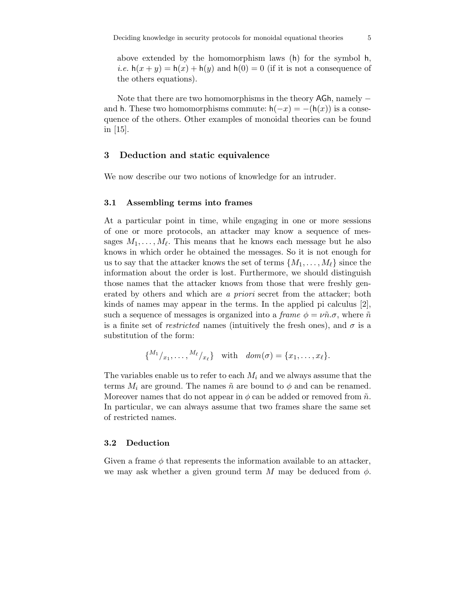above extended by the homomorphism laws (h) for the symbol h, *i.e.*  $h(x + y) = h(x) + h(y)$  and  $h(0) = 0$  (if it is not a consequence of the others equations).

Note that there are two homomorphisms in the theory AGh, namely − and h. These two homomorphisms commute:  $h(-x) = -h(x)$  is a consequence of the others. Other examples of monoidal theories can be found in  $|15|$ .

## 3 Deduction and static equivalence

We now describe our two notions of knowledge for an intruder.

#### 3.1 Assembling terms into frames

At a particular point in time, while engaging in one or more sessions of one or more protocols, an attacker may know a sequence of messages  $M_1, \ldots, M_\ell$ . This means that he knows each message but he also knows in which order he obtained the messages. So it is not enough for us to say that the attacker knows the set of terms  $\{M_1,\ldots,M_\ell\}$  since the information about the order is lost. Furthermore, we should distinguish those names that the attacker knows from those that were freshly generated by others and which are a priori secret from the attacker; both kinds of names may appear in the terms. In the applied pi calculus [2], such a sequence of messages is organized into a frame  $\phi = \nu \tilde{n} \sigma$ , where  $\tilde{n}$ is a finite set of *restricted* names (intuitively the fresh ones), and  $\sigma$  is a substitution of the form:

$$
\{^{M_1}/_{x_1},\ldots,^{M_\ell}/_{x_\ell}\}\quad\text{with}\quad\text{dom}(\sigma)=\{x_1,\ldots,x_\ell\}.
$$

The variables enable us to refer to each  $M_i$  and we always assume that the terms  $M_i$  are ground. The names  $\tilde{n}$  are bound to  $\phi$  and can be renamed. Moreover names that do not appear in  $\phi$  can be added or removed from  $\tilde{n}$ . In particular, we can always assume that two frames share the same set of restricted names.

## 3.2 Deduction

Given a frame  $\phi$  that represents the information available to an attacker, we may ask whether a given ground term M may be deduced from  $\phi$ .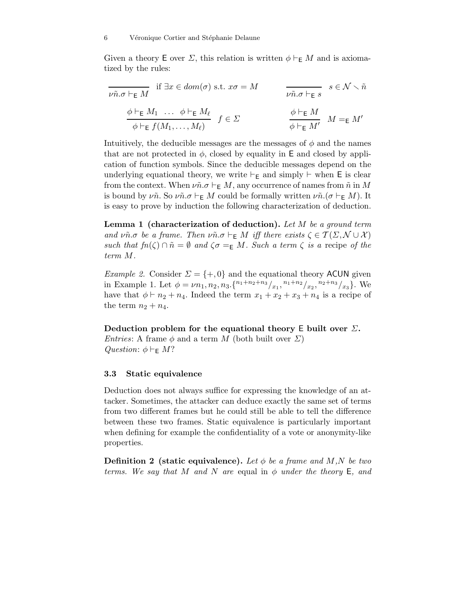Given a theory E over  $\Sigma$ , this relation is written  $\phi \vdash_{\mathsf{E}} M$  and is axiomatized by the rules:

$$
\overline{\nu \tilde{n}.\sigma \vdash_{\mathsf{E}} M} \quad \text{if } \exists x \in dom(\sigma) \text{ s.t. } x\sigma = M \qquad \qquad \overline{\nu \tilde{n}.\sigma \vdash_{\mathsf{E}} s} \quad s \in \mathcal{N} \setminus \tilde{n}
$$
\n
$$
\frac{\phi \vdash_{\mathsf{E}} M_1 \quad \dots \quad \phi \vdash_{\mathsf{E}} M_\ell}{\phi \vdash_{\mathsf{E}} f(M_1, \dots, M_\ell)} \quad f \in \Sigma \qquad \qquad \frac{\phi \vdash_{\mathsf{E}} M}{\phi \vdash_{\mathsf{E}} M'} \quad M =_{\mathsf{E}} M'
$$

Intuitively, the deducible messages are the messages of  $\phi$  and the names that are not protected in  $\phi$ , closed by equality in E and closed by application of function symbols. Since the deducible messages depend on the underlying equational theory, we write ⊢<sub>E</sub> and simply  $\vdash$  when E is clear from the context. When  $\nu\tilde{n}.\sigma \vdash_{\mathsf{E}} M$ , any occurrence of names from  $\tilde{n}$  in M is bound by  $\nu\tilde{n}$ . So  $\nu\tilde{n}.\sigma \vdash_{\mathsf{E}} M$  could be formally written  $\nu\tilde{n}.(\sigma \vdash_{\mathsf{E}} M)$ . It is easy to prove by induction the following characterization of deduction.

**Lemma 1** (characterization of deduction). Let  $M$  be a ground term and  $\nu\tilde{n}.\sigma$  be a frame. Then  $\nu\tilde{n}.\sigma \vdash_{\mathsf{E}} M$  iff there exists  $\zeta \in \mathcal{T}(\Sigma,\mathcal{N} \cup \mathcal{X})$ such that  $fn(\zeta) \cap \tilde{n} = \emptyset$  and  $\zeta \sigma =_{\mathsf{E}} M$ . Such a term  $\zeta$  is a recipe of the term M.

*Example 2.* Consider  $\Sigma = \{+,0\}$  and the equational theory ACUN given in Example 1. Let  $\phi = \nu n_1, n_2, n_3. \{n_1+n_2+n_3/_{x_1}, n_1+n_2/_{x_2}, n_2+n_3/_{x_3}\}.$  We have that  $\phi \vdash n_2 + n_4$ . Indeed the term  $x_1 + x_2 + x_3 + n_4$  is a recipe of the term  $n_2 + n_4$ .

Deduction problem for the equational theory E built over  $\Sigma$ . *Entries:* A frame  $\phi$  and a term M (both built over  $\Sigma$ )

Question:  $\phi \vdash_{\mathsf{F}} M$ ?

### 3.3 Static equivalence

Deduction does not always suffice for expressing the knowledge of an attacker. Sometimes, the attacker can deduce exactly the same set of terms from two different frames but he could still be able to tell the difference between these two frames. Static equivalence is particularly important when defining for example the confidentiality of a vote or anonymity-like properties.

**Definition 2** (static equivalence). Let  $\phi$  be a frame and M,N be two terms. We say that M and N are equal in  $\phi$  under the theory E, and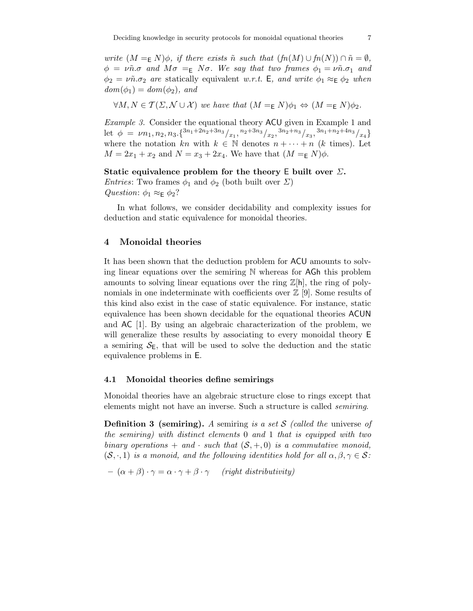write  $(M =_{\mathsf{E}} N) \phi$ , if there exists  $\tilde{n}$  such that  $(fn(M) \cup fn(N)) \cap \tilde{n} = \emptyset$ ,  $\phi = \nu \tilde{n} \sigma$  and  $M\sigma =_{\mathsf{E}} N\sigma$ . We say that two frames  $\phi_1 = \nu \tilde{n} \sigma_1$  and  $\phi_2 = \nu \tilde{n} \sigma_2$  are statically equivalent w.r.t. E, and write  $\phi_1 \approx_{\mathsf{E}} \phi_2$  when  $dom(\phi_1) = dom(\phi_2)$ , and

$$
\forall M, N \in \mathcal{T}(\Sigma, \mathcal{N} \cup \mathcal{X}) \text{ we have that } (M =_{\mathsf{E}} N)\phi_1 \Leftrightarrow (M =_{\mathsf{E}} N)\phi_2.
$$

Example 3. Consider the equational theory ACU given in Example 1 and let  $\phi = \nu n_1, n_2, n_3. \{ \frac{3n_1 + 2n_2 + 3n_3}{x_1}, \frac{n_2 + 3n_3}{x_2}, \frac{3n_2 + n_3}{x_3}, \frac{3n_1 + n_2 + 4n_3}{x_4} \}$ where the notation kn with  $k \in \mathbb{N}$  denotes  $n + \cdots + n$  (k times). Let  $M = 2x_1 + x_2$  and  $N = x_3 + 2x_4$ . We have that  $(M =_{\mathsf{E}} N)\phi$ .

#### Static equivalence problem for the theory E built over  $\Sigma$ .

*Entries*: Two frames  $\phi_1$  and  $\phi_2$  (both built over  $\Sigma$ ) Question:  $\phi_1 \approx_E \phi_2$ ?

In what follows, we consider decidability and complexity issues for deduction and static equivalence for monoidal theories.

## 4 Monoidal theories

It has been shown that the deduction problem for ACU amounts to solving linear equations over the semiring  $N$  whereas for AGh this problem amounts to solving linear equations over the ring  $\mathbb{Z}[h]$ , the ring of polynomials in one indeterminate with coefficients over  $\mathbb{Z}$  [9]. Some results of this kind also exist in the case of static equivalence. For instance, static equivalence has been shown decidable for the equational theories ACUN and AC [1]. By using an algebraic characterization of the problem, we will generalize these results by associating to every monoidal theory  $E$ a semiring  $S_{\text{E}}$ , that will be used to solve the deduction and the static equivalence problems in E.

## 4.1 Monoidal theories define semirings

Monoidal theories have an algebraic structure close to rings except that elements might not have an inverse. Such a structure is called semiring.

**Definition 3 (semiring).** A semiring is a set S (called the universe of the semiring) with distinct elements 0 and 1 that is equipped with two binary operations + and · such that  $(S, +, 0)$  is a commutative monoid,  $(S, \cdot, 1)$  is a monoid, and the following identities hold for all  $\alpha, \beta, \gamma \in S$ :

$$
- (\alpha + \beta) \cdot \gamma = \alpha \cdot \gamma + \beta \cdot \gamma
$$
 (right distributivity)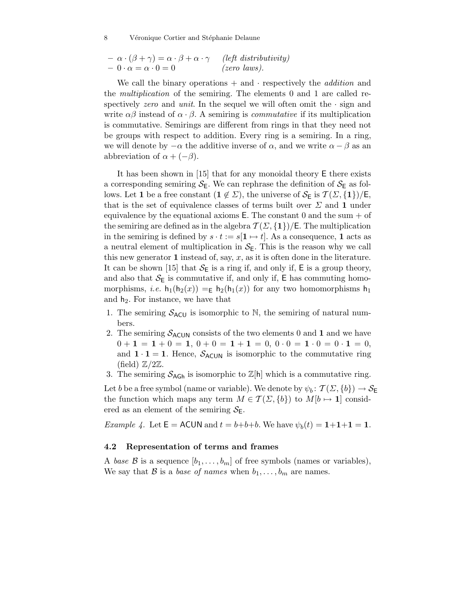8 Véronique Cortier and Stéphanie Delaune

$$
- \alpha \cdot (\beta + \gamma) = \alpha \cdot \beta + \alpha \cdot \gamma \quad (left distributivity)- 0 \cdot \alpha = \alpha \cdot 0 = 0 \quad (zero laws).
$$

We call the binary operations  $+$  and  $\cdot$  respectively the *addition* and the multiplication of the semiring. The elements 0 and 1 are called respectively zero and unit. In the sequel we will often omit the  $\cdot$  sign and write  $\alpha\beta$  instead of  $\alpha \cdot \beta$ . A semiring is *commutative* if its multiplication is commutative. Semirings are different from rings in that they need not be groups with respect to addition. Every ring is a semiring. In a ring, we will denote by  $-\alpha$  the additive inverse of  $\alpha$ , and we write  $\alpha - \beta$  as an abbreviation of  $\alpha + (-\beta)$ .

It has been shown in [15] that for any monoidal theory E there exists a corresponding semiring  $S_{\text{E}}$ . We can rephrase the definition of  $S_{\text{E}}$  as follows. Let 1 be a free constant  $(1 \notin \Sigma)$ , the universe of  $\mathcal{S}_{\mathsf{E}}$  is  $\mathcal{T}(\Sigma, \{1\})/\mathsf{E}$ , that is the set of equivalence classes of terms built over  $\Sigma$  and 1 under equivalence by the equational axioms  $E$ . The constant 0 and the sum  $+$  of the semiring are defined as in the algebra  $\mathcal{T}(\Sigma, \{1\})$ /E. The multiplication in the semiring is defined by  $s \cdot t := s[1 \mapsto t]$ . As a consequence, 1 acts as a neutral element of multiplication in  $S_{\text{E}}$ . This is the reason why we call this new generator 1 instead of, say,  $x$ , as it is often done in the literature. It can be shown [15] that  $S_{\mathsf{E}}$  is a ring if, and only if,  $\mathsf E$  is a group theory, and also that  $S_{\text{E}}$  is commutative if, and only if, E has commuting homomorphisms, *i.e.*  $h_1(h_2(x)) = h_2(h_1(x))$  for any two homomorphisms  $h_1$ and  $h_2$ . For instance, we have that

- 1. The semiring  $S_{ACU}$  is isomorphic to N, the semiring of natural numbers.
- 2. The semiring  $S_{ACUN}$  consists of the two elements 0 and 1 and we have  $0 + 1 = 1 + 0 = 1, 0 + 0 = 1 + 1 = 0, 0 \cdot 0 = 1 \cdot 0 = 0 \cdot 1 = 0,$ and  $1 \cdot 1 = 1$ . Hence,  $S_{ACUN}$  is isomorphic to the commutative ring (field)  $\mathbb{Z}/2\mathbb{Z}$ .
- 3. The semiring  $S_{AGh}$  is isomorphic to  $\mathbb{Z}[h]$  which is a commutative ring.

Let b be a free symbol (name or variable). We denote by  $\psi_b: \mathcal{T}(\Sigma, \{b\}) \to \mathcal{S}_{\mathsf{E}}$ the function which maps any term  $M \in \mathcal{T}(\Sigma, \{b\})$  to  $M[b \mapsto 1]$  considered as an element of the semiring  $S_{\text{E}}$ .

*Example 4.* Let  $\mathsf{E} = \mathsf{ACUN}$  and  $t = b+b+b$ . We have  $\psi_b(t) = 1+1+1=1$ .

#### 4.2 Representation of terms and frames

A base B is a sequence  $[b_1,\ldots,b_m]$  of free symbols (names or variables), We say that B is a base of names when  $b_1, \ldots, b_m$  are names.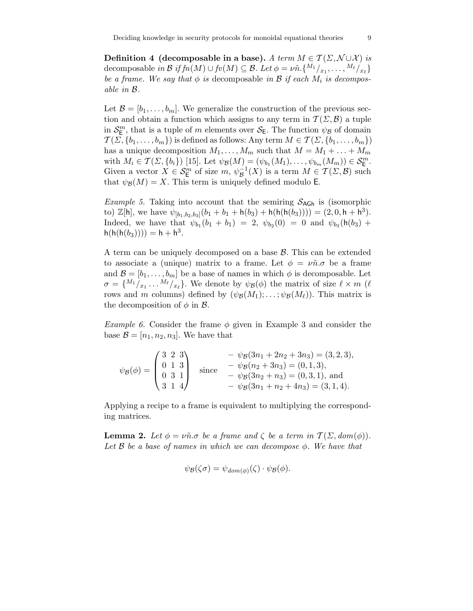Definition 4 (decomposable in a base). A term  $M \in \mathcal{T}(\Sigma, \mathcal{N} \cup \mathcal{X})$  is decomposable in  $\mathcal B$  if  $f n(M) \cup f v(M) \subseteq \mathcal B$ . Let  $\phi = \nu \tilde n. \{M_1 \}_{x_1}, \ldots, M_\ell \}_{x_\ell}$ be a frame. We say that  $\phi$  is decomposable in  $\mathcal B$  if each  $M_i$  is decomposable in B.

Let  $\mathcal{B} = [b_1, \ldots, b_m]$ . We generalize the construction of the previous section and obtain a function which assigns to any term in  $\mathcal{T}(\Sigma,\mathcal{B})$  a tuple in  $\mathcal{S}_{\mathsf{E}}^m$ , that is a tuple of m elements over  $\mathcal{S}_{\mathsf{E}}$ . The function  $\psi_{\mathcal{B}}$  of domain  $\mathcal{T}(\Sigma, \{b_1,\ldots,b_m\})$  is defined as follows: Any term  $M \in \mathcal{T}(\Sigma, \{b_1,\ldots,b_m\})$ has a unique decomposition  $M_1, \ldots, M_m$  such that  $M = M_1 + \ldots + M_m$ with  $M_i \in \mathcal{T}(\Sigma, \{b_i\})$  [15]. Let  $\psi_{\mathcal{B}}(M) = (\psi_{b_1}(M_1), \dots, \psi_{b_m}(M_m)) \in \mathcal{S}_{\mathbb{E}}^m$ . Given a vector  $X \in \mathcal{S}_{\mathsf{E}}^m$  of size  $m, \psi_{\mathcal{B}}^{-1}(X)$  is a term  $M \in \mathcal{T}(\Sigma, \mathcal{B})$  such that  $\psi_{\mathcal{B}}(M) = X$ . This term is uniquely defined modulo **E**.

*Example 5.* Taking into account that the semiring  $S_{AGh}$  is (isomorphic to)  $\mathbb{Z}[h]$ , we have  $\psi_{[b_1,b_2,b_3]}(b_1+b_1+h(b_3)+h(h(h(b_3))))=(2,0,h+h^3)$ . Indeed, we have that  $\psi_{b_1}(b_1 + b_1) = 2, \ \psi_{b_2}(0) = 0$  and  $\psi_{b_3}(h(b_3) +$  $h(h(h(b_3)))) = h + h^3$ .

A term can be uniquely decomposed on a base B. This can be extended to associate a (unique) matrix to a frame. Let  $\phi = \nu \tilde{n} \sigma$  be a frame and  $\mathcal{B} = [b_1, \ldots, b_m]$  be a base of names in which  $\phi$  is decomposable. Let  $\sigma = \{M_1/_{x_1} \ldots M_\ell/_{x_\ell}\}.$  We denote by  $\psi_B(\phi)$  the matrix of size  $\ell \times m$  ( $\ell$ rows and m columns) defined by  $(\psi_{\mathcal{B}}(M_1);\ldots;\psi_{\mathcal{B}}(M_\ell)).$  This matrix is the decomposition of  $\phi$  in  $\beta$ .

*Example 6.* Consider the frame  $\phi$  given in Example 3 and consider the base  $\mathcal{B} = [n_1, n_2, n_3]$ . We have that

$$
\psi_{\mathcal{B}}(\phi) = \begin{pmatrix} 3 & 2 & 3 \\ 0 & 1 & 3 \\ 0 & 3 & 1 \\ 3 & 1 & 4 \end{pmatrix} \text{ since } \begin{aligned} -\psi_{\mathcal{B}}(3n_1 + 2n_2 + 3n_3) &= (3, 2, 3), \\ -\psi_{\mathcal{B}}(n_2 + 3n_3) &= (0, 1, 3), \\ -\psi_{\mathcal{B}}(3n_2 + n_3) &= (0, 3, 1), \text{ and} \\ -\psi_{\mathcal{B}}(3n_1 + n_2 + 4n_3) &= (3, 1, 4). \end{aligned}
$$

Applying a recipe to a frame is equivalent to multiplying the corresponding matrices.

**Lemma 2.** Let  $\phi = \nu \tilde{n} \sigma$  be a frame and  $\zeta$  be a term in  $\mathcal{T}(\Sigma, dom(\phi))$ . Let  $\beta$  be a base of names in which we can decompose  $\phi$ . We have that

$$
\psi_{\mathcal{B}}(\zeta \sigma) = \psi_{dom(\phi)}(\zeta) \cdot \psi_{\mathcal{B}}(\phi).
$$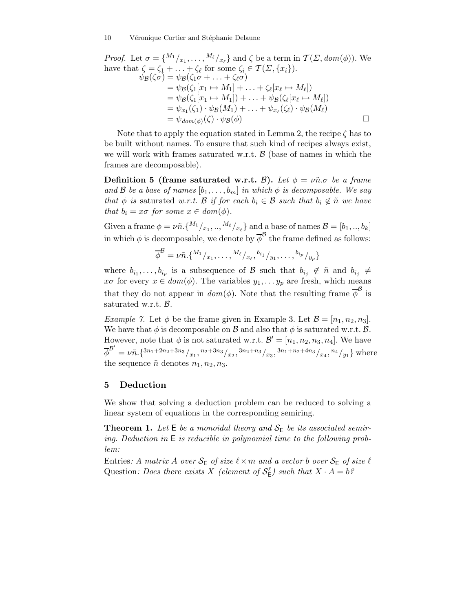*Proof.* Let  $\sigma = \{M_1/_{x_1}, \ldots, M_\ell/_{x_\ell}\}\$  and  $\zeta$  be a term in  $\mathcal{T}(\Sigma, dom(\phi))$ . We have that  $\zeta = \zeta_1 + \ldots + \zeta_\ell$  for some  $\zeta_i \in \mathcal{T}(\Sigma, \{x_i\}).$  $\psi_{\mathcal{B}}(\zeta \sigma) = \psi_{\mathcal{B}}(\zeta_1 \sigma + \ldots + \zeta_{\ell} \sigma)$  $=\psi_{\mathcal{B}}(\zeta_1[x_1\mapsto M_1]+\ldots+\zeta_{\ell}[x_{\ell}\mapsto M_{\ell}])$  $=\psi_{\mathcal{B}}(\zeta_1[x_1 \mapsto M_1]) + \ldots + \psi_{\mathcal{B}}(\zeta_{\ell}[x_{\ell} \mapsto M_{\ell}])$  $= \psi_{x_1}(\zeta_1) \cdot \psi_{\mathcal{B}}(M_1) + \ldots + \psi_{x_\ell}(\zeta_\ell) \cdot \psi_{\mathcal{B}}(M_\ell)$  $=\psi_{dom(\phi)}(\zeta)\cdot \psi_{\mathcal{B}}(\phi)$ 

Note that to apply the equation stated in Lemma 2, the recipe  $\zeta$  has to be built without names. To ensure that such kind of recipes always exist, we will work with frames saturated w.r.t.  $\beta$  (base of names in which the frames are decomposable).

Definition 5 (frame saturated w.r.t.  $\beta$ ). Let  $\phi = \nu \tilde{n} \sigma$  be a frame and B be a base of names  $[b_1,\ldots,b_m]$  in which  $\phi$  is decomposable. We say that  $\phi$  is saturated w.r.t. B if for each  $b_i \in \mathcal{B}$  such that  $b_i \notin \tilde{n}$  we have that  $b_i = x\sigma$  for some  $x \in dom(\phi)$ .

Given a frame  $\phi = \nu \tilde{n}$ . { $^{M_1}/_{x_1}, ..., M_{\ell}/_{x_{\ell}}$ } and a base of names  $\mathcal{B} = [b_1, ..., b_k]$ in which  $\phi$  is decomposable, we denote by  $\overline{\phi}^{\mathcal{B}}$  the frame defined as follows:

 $\overline{\phi}^{\mathcal{B}} = \nu \tilde{n}. \{^{M_1}/{}_{x_1},\ldots,^{M_\ell}/{}_{x_\ell},{}^{b_{i_1}}/{}_{y_1},\ldots,{}^{b_{i_p}}/{}_{y_p}\}$ 

where  $b_{i_1}, \ldots, b_{i_p}$  is a subsequence of B such that  $b_{i_j} \notin \tilde{n}$  and  $b_{i_j} \neq$  $x\sigma$  for every  $x \in dom(\phi)$ . The variables  $y_1, \ldots y_p$  are fresh, which means that they do not appear in  $dom(\phi)$ . Note that the resulting frame  $\overline{\phi}^{\mathcal{B}}$  is saturated w.r.t.  $\beta$ .

*Example 7.* Let  $\phi$  be the frame given in Example 3. Let  $\mathcal{B} = [n_1, n_2, n_3]$ . We have that  $\phi$  is decomposable on  $\mathcal B$  and also that  $\phi$  is saturated w.r.t.  $\mathcal B$ . However, note that  $\phi$  is not saturated w.r.t.  $\mathcal{B}' = [n_1, n_2, n_3, n_4]$ . We have  $\overline{\phi}^{B'} = \nu \tilde{n}. \{3n_1 + 2n_2 + 3n_3 \}_{x_1}$ ,  $n_2 + 3n_3 \}_{x_2}$ ,  $3n_2 + n_3 \}_{x_3}$ ,  $3n_1 + n_2 + 4n_3 \}_{x_4}$ ,  $n_4 \}_{y_1}$ } where the sequence  $\tilde{n}$  denotes  $n_1, n_2, n_3$ .

## 5 Deduction

We show that solving a deduction problem can be reduced to solving a linear system of equations in the corresponding semiring.

**Theorem 1.** Let  $E$  be a monoidal theory and  $S_E$  be its associated semiring. Deduction in E is reducible in polynomial time to the following problem:

Entries: A matrix A over  $S_{\mathsf{E}}$  of size  $\ell \times m$  and a vector b over  $S_{\mathsf{E}}$  of size  $\ell$ Question: Does there exists X (element of  $\mathcal{S}_{\mathsf{E}}^{\ell}$ ) such that  $X \cdot A = b$ ?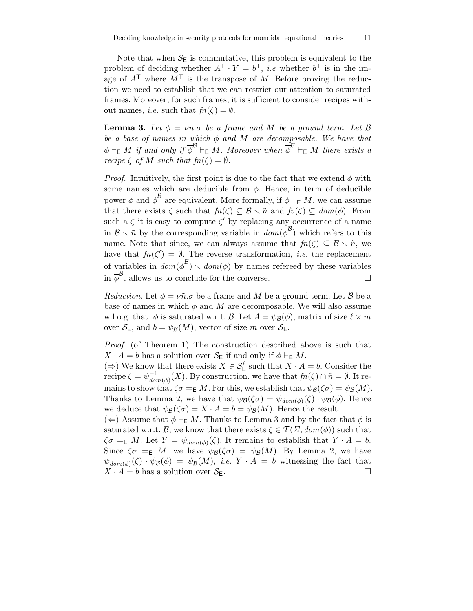Note that when  $S_{\text{E}}$  is commutative, this problem is equivalent to the problem of deciding whether  $A^{\mathsf{T}} \cdot Y = b^{\mathsf{T}}$ , *i.e* whether  $b^{\mathsf{T}}$  is in the image of  $A^{\mathsf{T}}$  where  $M^{\mathsf{T}}$  is the transpose of M. Before proving the reduction we need to establish that we can restrict our attention to saturated frames. Moreover, for such frames, it is sufficient to consider recipes without names, *i.e.* such that  $fn(\zeta) = \emptyset$ .

**Lemma 3.** Let  $\phi = v\tilde{n} \sigma$  be a frame and M be a ground term. Let  $\beta$ be a base of names in which  $\phi$  and M are decomposable. We have that  $\phi \vdash_{\mathsf{E}} M$  if and only if  $\overline{\phi}^{\mathcal{B}} \vdash_{\mathsf{E}} M$ . Moreover when  $\overline{\phi}^{\mathcal{B}} \vdash_{\mathsf{E}} M$  there exists a recipe  $\zeta$  of M such that  $fn(\zeta) = \emptyset$ .

*Proof.* Intuitively, the first point is due to the fact that we extend  $\phi$  with some names which are deducible from  $\phi$ . Hence, in term of deducible power  $\phi$  and  $\overline{\phi}^{\mathcal{B}}$  are equivalent. More formally, if  $\phi \vdash_{\mathsf{E}} M$ , we can assume that there exists  $\zeta$  such that  $fn(\zeta) \subseteq \mathcal{B} \setminus \tilde{n}$  and  $fv(\zeta) \subseteq dom(\phi)$ . From such a  $\zeta$  it is easy to compute  $\zeta'$  by replacing any occurrence of a name in  $\mathcal{B} \setminus \tilde{n}$  by the corresponding variable in  $dom(\phi^{\mathcal{B}})$  which refers to this name. Note that since, we can always assume that  $fn(\zeta) \subseteq \mathcal{B} \setminus \tilde{n}$ , we have that  $fn(\zeta') = \emptyset$ . The reverse transformation, *i.e.* the replacement of variables in  $dom(\overline{\phi}^{\mathcal{B}}) \setminus dom(\phi)$  by names refereed by these variables in  $\overline{\phi}^{\mathcal{B}}$ , allows us to conclude for the converse.

Reduction. Let  $\phi = \nu \tilde{n} \cdot \sigma$  be a frame and M be a ground term. Let B be a base of names in which  $\phi$  and M are decomposable. We will also assume w.l.o.g. that  $\phi$  is saturated w.r.t. B. Let  $A = \psi_B(\phi)$ , matrix of size  $\ell \times m$ over  $S_F$ , and  $b = \psi_B(M)$ , vector of size m over  $S_F$ .

Proof. (of Theorem 1) The construction described above is such that  $X \cdot A = b$  has a solution over  $S_{\mathsf{E}}$  if and only if  $\phi \vdash_{\mathsf{E}} M$ .

(⇒) We know that there exists  $X \in \mathcal{S}_{\mathsf{E}}^{\ell}$  such that  $X \cdot A = b$ . Consider the recipe  $\zeta = \psi_{d\alpha}^{-1}$  $\frac{1}{dom(\phi)}(X)$ . By construction, we have that  $fn(\zeta) \cap \tilde{n} = \emptyset$ . It remains to show that  $\zeta \sigma =_{\mathsf{E}} M$ . For this, we establish that  $\psi_{\mathcal{B}}(\zeta \sigma) = \psi_{\mathcal{B}}(M)$ . Thanks to Lemma 2, we have that  $\psi_B(\zeta \sigma) = \psi_{dom(\phi)}(\zeta) \cdot \psi_B(\phi)$ . Hence we deduce that  $\psi_{\mathcal{B}}(\zeta \sigma) = X \cdot A = b = \psi_{\mathcal{B}}(M)$ . Hence the result.

(←) Assume that  $\phi$   $\vdash$ <sub>E</sub> M. Thanks to Lemma 3 and by the fact that  $\phi$  is saturated w.r.t. B, we know that there exists  $\zeta \in \mathcal{T}(\Sigma, dom(\phi))$  such that  $\zeta \sigma =_{\mathsf{E}} M$ . Let  $Y = \psi_{\mathit{dom}(\phi)}(\zeta)$ . It remains to establish that  $Y \cdot A = b$ . Since  $\zeta \sigma =_{\mathsf{E}} M$ , we have  $\psi_{\mathcal{B}}(\zeta \sigma) = \psi_{\mathcal{B}}(M)$ . By Lemma 2, we have  $\psi_{dom(\phi)}(\zeta) \cdot \psi_{\mathcal{B}}(\phi) = \psi_{\mathcal{B}}(M), \ i.e. \ Y \cdot A = b \ \text{ with} \ \text{ess} \ \text{the} \ \text{fact} \ \text{that}$  $X \cdot A = b$  has a solution over  $S_F$ .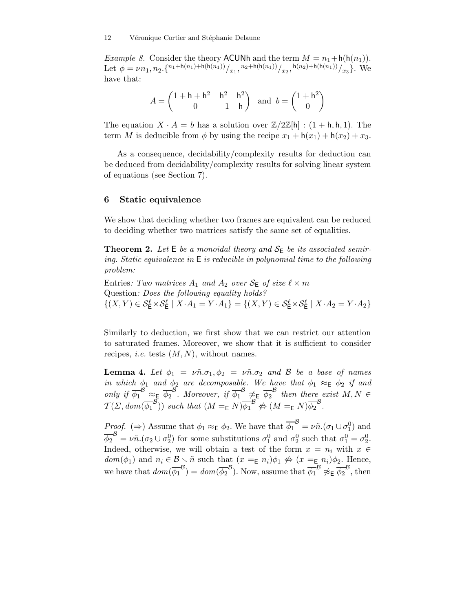*Example 8.* Consider the theory ACUNh and the term  $M = n_1 + h(h(n_1))$ . Let  $\phi = \nu n_1, n_2. \{^{n_1 + h(n_1) + h(h(n_1))}/x_1, {n_2 + h(h(n_1))}/x_2, {h(n_2) + h(h(n_1))}/x_3\}$ . We have that:

$$
A = \begin{pmatrix} 1 + \mathsf{h} + \mathsf{h}^2 & \mathsf{h}^2 & \mathsf{h}^2 \\ 0 & 1 & \mathsf{h} \end{pmatrix} \text{ and } b = \begin{pmatrix} 1 + \mathsf{h}^2 \\ 0 \end{pmatrix}
$$

The equation  $X \cdot A = b$  has a solution over  $\mathbb{Z}/2\mathbb{Z}[\mathsf{h}] : (1 + \mathsf{h}, \mathsf{h}, 1)$ . The term M is deducible from  $\phi$  by using the recipe  $x_1 + h(x_1) + h(x_2) + x_3$ .

As a consequence, decidability/complexity results for deduction can be deduced from decidability/complexity results for solving linear system of equations (see Section 7).

# 6 Static equivalence

We show that deciding whether two frames are equivalent can be reduced to deciding whether two matrices satisfy the same set of equalities.

**Theorem 2.** Let  $E$  be a monoidal theory and  $S_E$  be its associated semiring. Static equivalence in E is reducible in polynomial time to the following problem:

Entries: Two matrices  $A_1$  and  $A_2$  over  $S_E$  of size  $\ell \times m$ Question: Does the following equality holds?  $\{(X,Y)\in \mathcal{S}_{\mathsf{E}}^{\ell}\times \mathcal{S}_{\mathsf{E}}^{\ell} \mid X\cdot A_1=Y\cdot A_1\}=\{(X,Y)\in \mathcal{S}_{\mathsf{E}}^{\ell}\times \mathcal{S}_{\mathsf{E}}^{\ell} \mid X\cdot A_2=Y\cdot A_2\}$ 

Similarly to deduction, we first show that we can restrict our attention to saturated frames. Moreover, we show that it is sufficient to consider recipes, *i.e.* tests  $(M, N)$ , without names.

**Lemma 4.** Let  $\phi_1 = \nu \tilde{n} \cdot \sigma_1$ ,  $\phi_2 = \nu \tilde{n} \cdot \sigma_2$  and B be a base of names in which  $\phi_1$  and  $\phi_2$  are decomposable. We have that  $\phi_1 \approx_{\mathsf{E}} \phi_2$  if and only if  $\overline{\phi_1}^B \approx_E \overline{\phi_2}^B$ . Moreover, if  $\overline{\phi_1}^B \not\approx_E \overline{\phi_2}^B$  then there exist  $M, N \in$  $\mathcal{T}(\Sigma, dom(\overline{\phi_1}^{\mathcal{B}}))$  such that  $(M =_{\mathsf{E}} N)\overline{\phi_1}^{\mathcal{B}} \not\Leftrightarrow (M =_{\mathsf{E}} N)\overline{\phi_2}^{\mathcal{B}}$ .

*Proof.* ( $\Rightarrow$ ) Assume that  $\phi_1 \approx_{\mathsf{E}} \phi_2$ . We have that  $\overline{\phi_1}^{\mathcal{B}} = \nu \tilde{n} . (\sigma_1 \cup \sigma_1^0)$  and  $\overline{\phi_2}^{\mathcal{B}} = \nu \tilde{n} . (\sigma_2 \cup \sigma_2^0)$  for some substitutions  $\sigma_1^0$  and  $\sigma_2^0$  such that  $\sigma_1^0 = \sigma_2^0$ . Indeed, otherwise, we will obtain a test of the form  $x = n_i$  with  $x \in$  $dom(\phi_1)$  and  $n_i \in \mathcal{B} \setminus \tilde{n}$  such that  $(x =_{\mathsf{E}} n_i)\phi_1 \not\Leftrightarrow (x =_{\mathsf{E}} n_i)\phi_2$ . Hence, we have that  $dom(\overline{\phi_1}^B) = dom(\overline{\phi_2}^B)$ . Now, assume that  $\overline{\phi_1}^B \not\approx_{\mathsf{E}} \overline{\phi_2}^B$ , then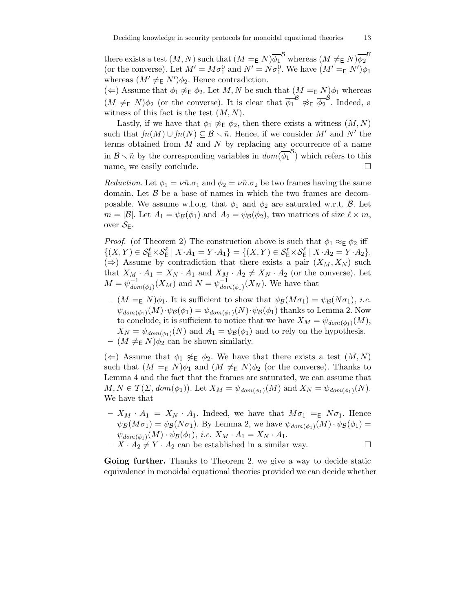there exists a test  $(M, N)$  such that  $(M =_{\mathsf{E}} N) \overline{\phi_1}^{\mathcal{B}}$  whereas  $(M \neq_{\mathsf{E}} N) \overline{\phi_2}^{\mathcal{B}}$ (or the converse). Let  $M' = M\sigma_1^0$  and  $N' = N\sigma_1^0$ . We have  $(M' = K N')\phi_1$ whereas  $(M' \neq_{\mathsf{E}} N')\phi_2$ . Hence contradiction.

(←) Assume that  $\phi_1 \not\approx_{\mathsf{E}} \phi_2$ . Let M, N be such that  $(M =_{\mathsf{E}} N)\phi_1$  whereas  $(M \neq_{\mathsf{E}} N)\phi_2$  (or the converse). It is clear that  $\overline{\phi_1}^{\mathcal{B}} \not\approx_{\mathsf{E}} \overline{\phi_2}^{\mathcal{B}}$ . Indeed, a witness of this fact is the test  $(M, N)$ .

Lastly, if we have that  $\phi_1 \not\approx_{\mathsf{E}} \phi_2$ , then there exists a witness  $(M, N)$ such that  $fn(M) \cup fn(N) \subseteq \mathcal{B} \setminus \tilde{n}$ . Hence, if we consider M' and N' the terms obtained from  $M$  and  $N$  by replacing any occurrence of a name in  $\mathcal{B} \setminus \tilde{n}$  by the corresponding variables in  $dom(\overline{\phi_1}^{\mathcal{B}})$  which refers to this name, we easily conclude.

Reduction. Let  $\phi_1 = \nu \tilde{n} \cdot \sigma_1$  and  $\phi_2 = \nu \tilde{n} \cdot \sigma_2$  be two frames having the same domain. Let  $\beta$  be a base of names in which the two frames are decomposable. We assume w.l.o.g. that  $\phi_1$  and  $\phi_2$  are saturated w.r.t. B. Let  $m = |\mathcal{B}|$ . Let  $A_1 = \psi_{\mathcal{B}}(\phi_1)$  and  $A_2 = \psi_{\mathcal{B}}(\phi_2)$ , two matrices of size  $\ell \times m$ , over  $S_{E}$ .

*Proof.* (of Theorem 2) The construction above is such that  $\phi_1 \approx_{\mathsf{E}} \phi_2$  iff  $\{(X,Y)\in \mathcal{S}_{\mathsf{E}}^{\ell}\times \mathcal{S}_{\mathsf{E}}^{\ell} \mid X\cdot A_1=Y\cdot A_1\}=\{(X,Y)\in \mathcal{S}_{\mathsf{E}}^{\ell}\times \mathcal{S}_{\mathsf{E}}^{\ell} \mid X\cdot A_2=Y\cdot A_2\}.$  $(\Rightarrow)$  Assume by contradiction that there exists a pair  $(X_M, X_N)$  such that  $X_M \cdot A_1 = X_N \cdot A_1$  and  $X_M \cdot A_2 \neq X_N \cdot A_2$  (or the converse). Let  $M = \psi_{d\alpha i}^{-1}$  $\frac{1}{dom(\phi_1)}(X_M)$  and  $N=\psi_{don}^{-1}$  $\frac{1}{\text{dom}(\phi_1)}(X_N)$ . We have that

–  $(M = E N)\phi_1$ . It is sufficient to show that  $\psi_B(M\sigma_1) = \psi_B(N\sigma_1)$ , *i.e.*  $\psi_{dom(\phi_1)}(M) \cdot \psi_{\mathcal{B}}(\phi_1) = \psi_{dom(\phi_1)}(N) \cdot \psi_{\mathcal{B}}(\phi_1)$  thanks to Lemma 2. Now to conclude, it is sufficient to notice that we have  $X_M = \psi_{dom(\phi_1)}(M)$ ,  $X_N = \psi_{dom(\phi_1)}(N)$  and  $A_1 = \psi_B(\phi_1)$  and to rely on the hypothesis. –  $(M \neq_{\mathsf{E}} N)\phi_2$  can be shown similarly.

 $(\Leftarrow)$  Assume that  $\phi_1 \not\approx_E \phi_2$ . We have that there exists a test  $(M, N)$ such that  $(M =_{\mathsf{E}} N)\phi_1$  and  $(M \neq_{\mathsf{E}} N)\phi_2$  (or the converse). Thanks to Lemma 4 and the fact that the frames are saturated, we can assume that  $M, N \in \mathcal{T}(\Sigma, dom(\phi_1))$ . Let  $X_M = \psi_{dom(\phi_1)}(M)$  and  $X_N = \psi_{dom(\phi_1)}(N)$ . We have that

 $-X_M \cdot A_1 = X_N \cdot A_1$ . Indeed, we have that  $M\sigma_1 = E N\sigma_1$ . Hence  $\psi_B(M\sigma_1) = \psi_B(N\sigma_1)$ . By Lemma 2, we have  $\psi_{dom(\phi_1)}(M) \cdot \psi_B(\phi_1) =$  $\psi_{dom(\phi_1)}(M) \cdot \psi_{\mathcal{B}}(\phi_1), \ i.e. \ X_M \cdot A_1 = X_N \cdot A_1.$ 

 $- X \cdot A_2 \neq Y \cdot A_2$  can be established in a similar way.

Going further. Thanks to Theorem 2, we give a way to decide static equivalence in monoidal equational theories provided we can decide whether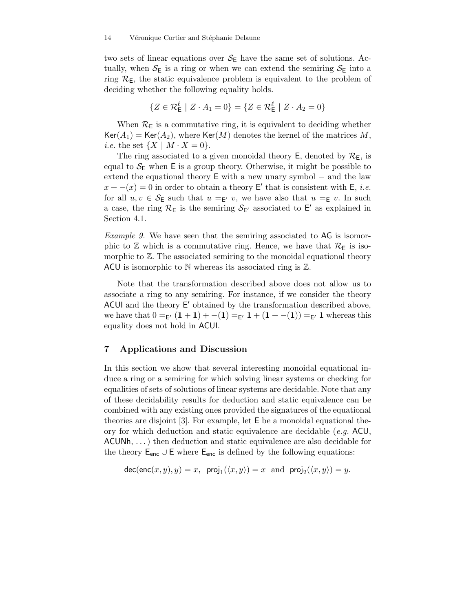#### 14 Véronique Cortier and Stéphanie Delaune

two sets of linear equations over  $S_{\text{E}}$  have the same set of solutions. Actually, when  $S_{\text{E}}$  is a ring or when we can extend the semiring  $S_{\text{E}}$  into a ring  $\mathcal{R}_E$ , the static equivalence problem is equivalent to the problem of deciding whether the following equality holds.

$$
\{Z \in \mathcal{R}^{\ell} \mid Z \cdot A_1 = 0\} = \{Z \in \mathcal{R}^{\ell} \mid Z \cdot A_2 = 0\}
$$

When  $\mathcal{R}_\mathsf{E}$  is a commutative ring, it is equivalent to deciding whether  $Ker(A_1) = Ker(A_2)$ , where  $Ker(M)$  denotes the kernel of the matrices M, *i.e.* the set  $\{X \mid M \cdot X = 0\}.$ 

The ring associated to a given monoidal theory  $E$ , denoted by  $\mathcal{R}_E$ , is equal to  $S_{\text{E}}$  when E is a group theory. Otherwise, it might be possible to extend the equational theory  $E$  with a new unary symbol – and the law  $x + -(x) = 0$  in order to obtain a theory E' that is consistent with E, *i.e.* for all  $u, v \in \mathcal{S}_E$  such that  $u =_{E'} v$ , we have also that  $u =_E v$ . In such a case, the ring  $\mathcal{R}_E$  is the semiring  $\mathcal{S}_{E'}$  associated to E' as explained in Section 4.1.

Example 9. We have seen that the semiring associated to AG is isomorphic to  $\mathbb Z$  which is a commutative ring. Hence, we have that  $\mathcal{R}_E$  is isomorphic to  $\mathbb{Z}$ . The associated semiring to the monoidal equational theory ACU is isomorphic to  $N$  whereas its associated ring is  $\mathbb{Z}$ .

Note that the transformation described above does not allow us to associate a ring to any semiring. For instance, if we consider the theory ACUI and the theory E' obtained by the transformation described above, we have that  $0 =_{\mathsf{E'}} (1 + 1) + (-1) =_{\mathsf{E'}} 1 + (1 + (-1)) =_{\mathsf{E'}} 1$  whereas this equality does not hold in ACUI.

# 7 Applications and Discussion

In this section we show that several interesting monoidal equational induce a ring or a semiring for which solving linear systems or checking for equalities of sets of solutions of linear systems are decidable. Note that any of these decidability results for deduction and static equivalence can be combined with any existing ones provided the signatures of the equational theories are disjoint [3]. For example, let E be a monoidal equational theory for which deduction and static equivalence are decidable (e.g. ACU, ACUNh, . . . ) then deduction and static equivalence are also decidable for the theory  $E_{\text{enc}} \cup E$  where  $E_{\text{enc}}$  is defined by the following equations:

$$
\mathsf{dec}(\mathsf{enc}(x,y),y) = x, \ \ \mathsf{proj}_1(\langle x,y \rangle) = x \ \ \text{and} \ \ \mathsf{proj}_2(\langle x,y \rangle) = y.
$$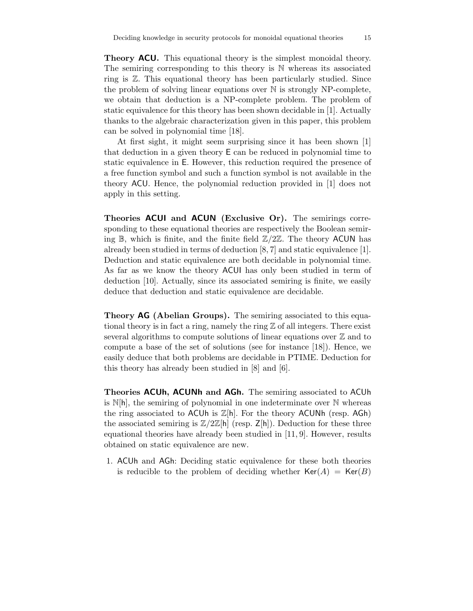**Theory ACU.** This equational theory is the simplest monoidal theory. The semiring corresponding to this theory is N whereas its associated ring is Z. This equational theory has been particularly studied. Since the problem of solving linear equations over N is strongly NP-complete, we obtain that deduction is a NP-complete problem. The problem of static equivalence for this theory has been shown decidable in [1]. Actually thanks to the algebraic characterization given in this paper, this problem can be solved in polynomial time [18].

At first sight, it might seem surprising since it has been shown [1] that deduction in a given theory E can be reduced in polynomial time to static equivalence in E. However, this reduction required the presence of a free function symbol and such a function symbol is not available in the theory ACU. Hence, the polynomial reduction provided in [1] does not apply in this setting.

Theories ACUI and ACUN (Exclusive Or). The semirings corresponding to these equational theories are respectively the Boolean semiring  $\mathbb B$ , which is finite, and the finite field  $\mathbb Z/2\mathbb Z$ . The theory ACUN has already been studied in terms of deduction [8, 7] and static equivalence [1]. Deduction and static equivalence are both decidable in polynomial time. As far as we know the theory ACUI has only been studied in term of deduction [10]. Actually, since its associated semiring is finite, we easily deduce that deduction and static equivalence are decidable.

Theory AG (Abelian Groups). The semiring associated to this equational theory is in fact a ring, namely the ring  $\mathbb Z$  of all integers. There exist several algorithms to compute solutions of linear equations over  $\mathbb Z$  and to compute a base of the set of solutions (see for instance [18]). Hence, we easily deduce that both problems are decidable in PTIME. Deduction for this theory has already been studied in [8] and [6].

Theories ACUh, ACUNh and AGh. The semiring associated to ACUh is  $N[h]$ , the semiring of polynomial in one indeterminate over  $N$  whereas the ring associated to ACUh is  $\mathbb{Z}[h]$ . For the theory ACUNh (resp. AGh) the associated semiring is  $\mathbb{Z}/2\mathbb{Z}[\mathsf{h}]$  (resp.  $\mathsf{Z}[\mathsf{h}]$ ). Deduction for these three equational theories have already been studied in [11, 9]. However, results obtained on static equivalence are new.

1. ACUh and AGh: Deciding static equivalence for these both theories is reducible to the problem of deciding whether  $Ker(A) = Ker(B)$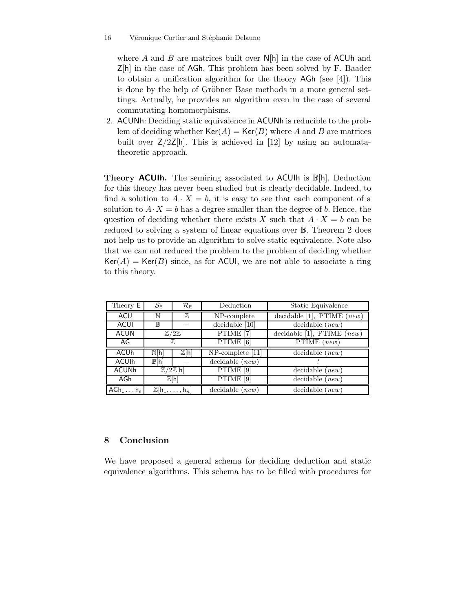where A and B are matrices built over  $N[h]$  in the case of ACUh and Z[h] in the case of AGh. This problem has been solved by F. Baader to obtain a unification algorithm for the theory AGh (see [4]). This is done by the help of Gröbner Base methods in a more general settings. Actually, he provides an algorithm even in the case of several commutating homomorphisms.

2. ACUNh: Deciding static equivalence in ACUNh is reducible to the problem of deciding whether  $Ker(A) = Ker(B)$  where A and B are matrices built over  $Z/2Z[h]$ . This is achieved in [12] by using an automatatheoretic approach.

Theory ACUIh. The semiring associated to ACUIh is B[h]. Deduction for this theory has never been studied but is clearly decidable. Indeed, to find a solution to  $A \cdot X = b$ , it is easy to see that each component of a solution to  $A \cdot X = b$  has a degree smaller than the degree of b. Hence, the question of deciding whether there exists X such that  $A \cdot X = b$  can be reduced to solving a system of linear equations over B. Theorem 2 does not help us to provide an algorithm to solve static equivalence. Note also that we can not reduced the problem to the problem of deciding whether  $Ker(A) = Ker(B)$  since, as for ACUI, we are not able to associate a ring to this theory.

| Theory E               | $\mathcal{S}_{\mathsf{E}}$                     | $\mathcal{R}_{\mathsf{E}}$ | Deduction                  | Static Equivalence                            |
|------------------------|------------------------------------------------|----------------------------|----------------------------|-----------------------------------------------|
| ACU                    | N                                              | $\mathbb{Z}$               | NP-complete                | decidable [1], PTIME $(new)$                  |
| <b>ACUI</b>            | $\mathbb B$                                    |                            | decidable [10]             | $\overline{\text{decidable}}$ ( <i>new</i> )  |
| <b>ACUN</b>            | $\mathbb{Z}/2\mathbb{Z}$                       |                            | PTIME <sup>[7]</sup>       | decidable [1], $\overline{\text{PTIME}(new)}$ |
| AG                     | 77,                                            |                            | PTIME [6]                  | $\overline{\mathrm{PTIME}}$ (new)             |
| <b>ACU<sub>h</sub></b> | N[h]                                           | $\overline{\mathbb{Z}}[h]$ | $NP$ -complete [11]        | $decidable$ ( <i>new</i> )                    |
| <b>ACUIh</b>           | $\mathbb{B}[\mathsf{h}]$                       |                            | $decidable$ ( <i>new</i> ) |                                               |
| <b>ACUNh</b>           | $\overline{\mathbb{Z}/2\mathbb{Z}}[h]$         |                            | PTIME [9]                  | $decidable$ ( <i>new</i> )                    |
| AGh                    | $\mathbb{Z}[h]$                                |                            | PTIME <sup>[9]</sup>       | $decidable$ ( <i>new</i> )                    |
| $AGh_1 \ldots h_n$     | $\mathbb{Z}[\mathsf{h}_1,\ldots,\mathsf{h}_n]$ |                            | $decidable$ ( <i>new</i> ) | $decidable$ ( <i>new</i> )                    |

# 8 Conclusion

We have proposed a general schema for deciding deduction and static equivalence algorithms. This schema has to be filled with procedures for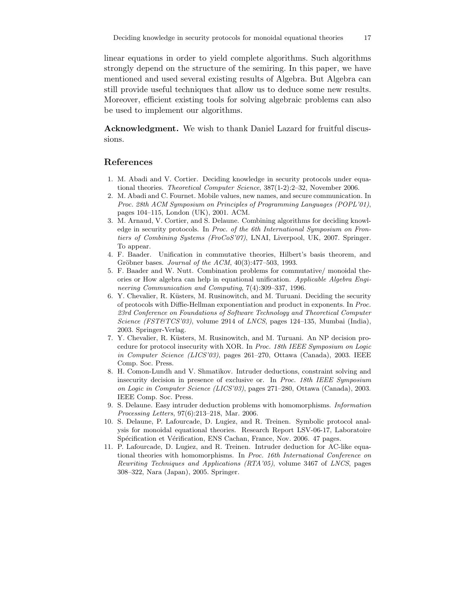linear equations in order to yield complete algorithms. Such algorithms strongly depend on the structure of the semiring. In this paper, we have mentioned and used several existing results of Algebra. But Algebra can still provide useful techniques that allow us to deduce some new results. Moreover, efficient existing tools for solving algebraic problems can also be used to implement our algorithms.

Acknowledgment. We wish to thank Daniel Lazard for fruitful discussions.

#### References

- 1. M. Abadi and V. Cortier. Deciding knowledge in security protocols under equational theories. Theoretical Computer Science, 387(1-2):2–32, November 2006.
- 2. M. Abadi and C. Fournet. Mobile values, new names, and secure communication. In Proc. 28th ACM Symposium on Principles of Programming Languages (POPL'01), pages 104–115, London (UK), 2001. ACM.
- 3. M. Arnaud, V. Cortier, and S. Delaune. Combining algorithms for deciding knowledge in security protocols. In Proc. of the 6th International Symposium on Frontiers of Combining Systems (FroCoS'07), LNAI, Liverpool, UK, 2007. Springer. To appear.
- 4. F. Baader. Unification in commutative theories, Hilbert's basis theorem, and Gröbner bases. Journal of the  $ACM$ ,  $40(3):477-503$ , 1993.
- 5. F. Baader and W. Nutt. Combination problems for commutative/ monoidal theories or How algebra can help in equational unification. Applicable Algebra Engineering Communication and Computing, 7(4):309–337, 1996.
- 6. Y. Chevalier, R. Küsters, M. Rusinowitch, and M. Turuani. Deciding the security of protocols with Diffie-Hellman exponentiation and product in exponents. In Proc. 23rd Conference on Foundations of Software Technology and Theoretical Computer Science (FST&TCS'03), volume 2914 of LNCS, pages 124–135, Mumbai (India), 2003. Springer-Verlag.
- 7. Y. Chevalier, R. Küsters, M. Rusinowitch, and M. Turuani. An NP decision procedure for protocol insecurity with XOR. In Proc. 18th IEEE Symposium on Logic in Computer Science (LICS'03), pages 261–270, Ottawa (Canada), 2003. IEEE Comp. Soc. Press.
- 8. H. Comon-Lundh and V. Shmatikov. Intruder deductions, constraint solving and insecurity decision in presence of exclusive or. In Proc. 18th IEEE Symposium on Logic in Computer Science (LICS'03), pages 271–280, Ottawa (Canada), 2003. IEEE Comp. Soc. Press.
- 9. S. Delaune. Easy intruder deduction problems with homomorphisms. Information Processing Letters, 97(6):213–218, Mar. 2006.
- 10. S. Delaune, P. Lafourcade, D. Lugiez, and R. Treinen. Symbolic protocol analysis for monoidal equational theories. Research Report LSV-06-17, Laboratoire Spécification et Vérification, ENS Cachan, France, Nov. 2006. 47 pages.
- 11. P. Lafourcade, D. Lugiez, and R. Treinen. Intruder deduction for AC-like equational theories with homomorphisms. In Proc. 16th International Conference on Rewriting Techniques and Applications (RTA'05), volume 3467 of LNCS, pages 308–322, Nara (Japan), 2005. Springer.